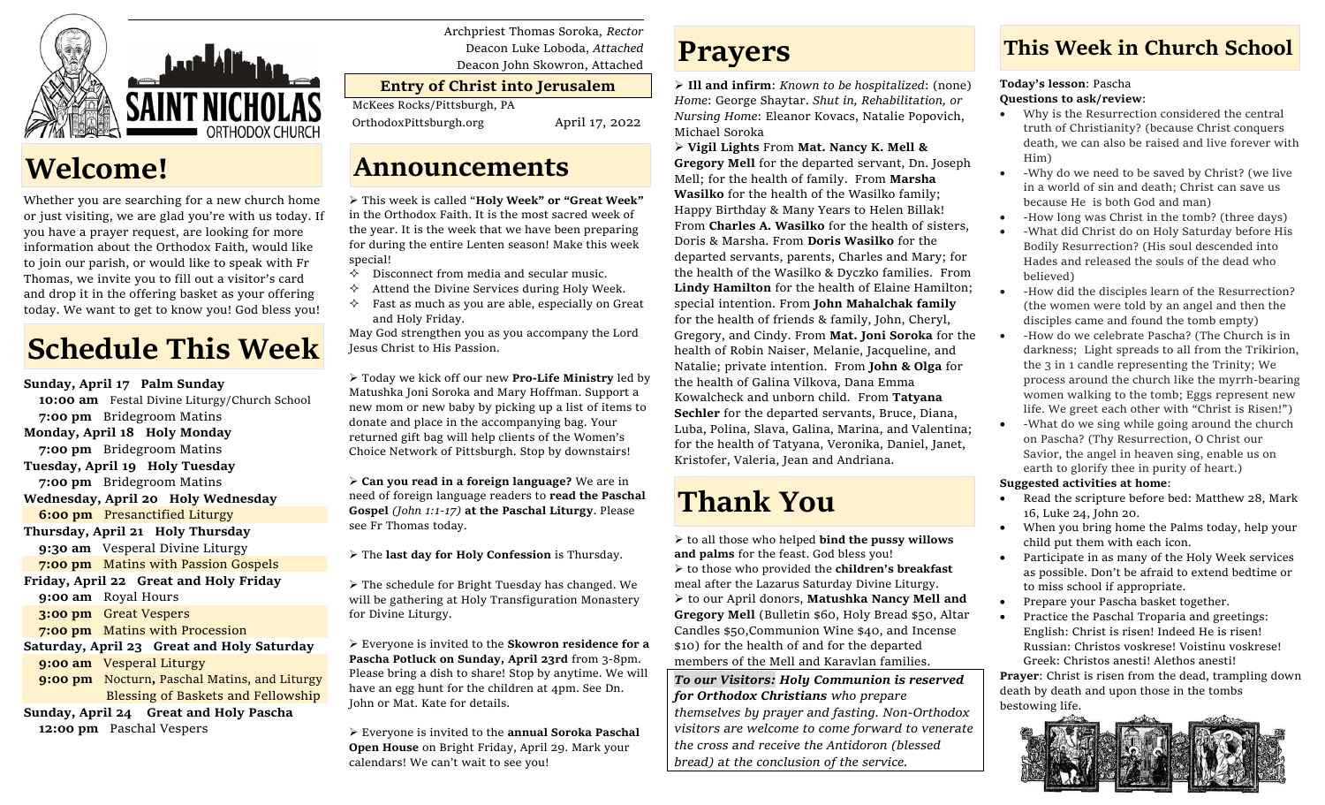

## **Welcome!**

Whether you are searching for a new church home or just visiting, we are glad you're with us today. If you have a prayer request, are looking for more information about the Orthodox Faith, would like to join our parish, or would like to speak with Fr Thomas, we invite you to fill out a visitor's card and drop it in the offering basket as your offering today. We want to get to know you! God bless you!

# **Schedule This Week**

**Sunday, April 17 Palm Sunday 10:00 am** Festal Divine Liturgy/Church School  **7:00 pm** Bridegroom Matins **Monday, April 18 Holy Monday 7:00 pm** Bridegroom Matins **Tuesday, April 19 Holy Tuesday 7:00 pm** Bridegroom Matins **Wednesday, April 20 Holy Wednesday 6:00 pm** Presanctified Liturgy **Thursday, April 21 Holy Thursday 9:30 am** Vesperal Divine Liturgy **7:00 pm** Matins with Passion Gospels **Friday, April 22 Great and Holy Friday 9:00 am** Royal Hours  **3:00 pm** Great Vespers  **7:00 pm** Matins with Procession **Saturday, April 23 Great and Holy Saturday 9:00 am** Vesperal Liturgy **9:00 pm** Nocturn**,** Paschal Matins, and Liturgy Blessing of Baskets and Fellowship

**Sunday, April 24 Great and Holy Pascha 12:00 pm** Paschal Vespers

Archpriest Thomas Soroka, *Rector* Deacon Luke Loboda, *Attached* Deacon John Skowron, Attached

#### **Entry of Christ into Jerusalem**

McKees Rocks/Pittsburgh, PA

OrthodoxPittsburgh.org April 17, 2022

## **Announcements**

➢ This week is called "**Holy Week" or "Great Week"** in the Orthodox Faith. It is the most sacred week of the year. It is the week that we have been preparing for during the entire Lenten season! Make this week special!

- $\Diamond$  Disconnect from media and secular music.
- Attend the Divine Services during Holy Week.
- $\Diamond$  Fast as much as you are able, especially on Great and Holy Friday.

May God strengthen you as you accompany the Lord Jesus Christ to His Passion.

➢ Today we kick off our new **Pro-Life Ministry** led by Matushka Joni Soroka and Mary Hoffman. Support a new mom or new baby by picking up a list of items to donate and place in the accompanying bag. Your returned gift bag will help clients of the Women's Choice Network of Pittsburgh. Stop by downstairs!

➢ **Can you read in a foreign language?** We are in need of foreign language readers to **read the Paschal Gospel** *(John 1:1-17)* **at the Paschal Liturgy**. Please see Fr Thomas today.

➢ The **last day for Holy Confession** is Thursday.

➢ The schedule for Bright Tuesday has changed. We will be gathering at Holy Transfiguration Monastery for Divine Liturgy.

➢ Everyone is invited to the **Skowron residence for a Pascha Potluck on Sunday, April 23rd** from 3-8pm. Please bring a dish to share! Stop by anytime. We will have an egg hunt for the children at 4pm. See Dn. John or Mat. Kate for details.

➢ Everyone is invited to the **annual Soroka Paschal Open House** on Bright Friday, April 29. Mark your calendars! We can't wait to see you!

## **Prayers**

➢ **Ill and infirm**: *Known to be hospitalized*: (none) *Home*: George Shaytar. *Shut in, Rehabilitation, or Nursing Home*: Eleanor Kovacs, Natalie Popovich, Michael Soroka

➢ **Vigil Lights** From **Mat. Nancy K. Mell & Gregory Mell** for the departed servant, Dn. Joseph Mell; for the health of family. From **Marsha Wasilko** for the health of the Wasilko family; Happy Birthday & Many Years to Helen Billak! From **Charles A. Wasilko** for the health of sisters, Doris & Marsha. From **Doris Wasilko** for the departed servants, parents, Charles and Mary; for the health of the Wasilko & Dyczko families. From **Lindy Hamilton** for the health of Elaine Hamilton; special intention. From **John Mahalchak family**  for the health of friends & family, John, Cheryl, Gregory, and Cindy. From **Mat. Joni Soroka** for the health of Robin Naiser, Melanie, Jacqueline, and Natalie; private intention. From **John & Olga** for the health of Galina Vilkova, Dana Emma Kowalcheck and unborn child. From **Tatyana Sechler** for the departed servants, Bruce, Diana, Luba, Polina, Slava, Galina, Marina, and Valentina; for the health of Tatyana, Veronika, Daniel, Janet, Kristofer, Valeria, Jean and Andriana.

# **Thank You**

➢ to all those who helped **bind the pussy willows and palms** for the feast. God bless you! ➢ to those who provided the **children's breakfast** meal after the Lazarus Saturday Divine Liturgy. ➢ to our April donors, **Matushka Nancy Mell and Gregory Mell** (Bulletin \$60, Holy Bread \$50, Altar Candles \$50,Communion Wine \$40, and Incense \$10) for the health of and for the departed members of the Mell and Karavlan families.

*To our Visitors: Holy Communion is reserved for Orthodox Christians who prepare themselves by prayer and fasting. Non-Orthodox visitors are welcome to come forward to venerate the cross and receive the Antidoron (blessed bread) at the conclusion of the service.*

### **This Week in Church School**

#### **Today's lesson**: Pascha **Questions to ask/review**:

- Why is the Resurrection considered the central truth of Christianity? (because Christ conquers death, we can also be raised and live forever with Him)
- -Why do we need to be saved by Christ? (we live in a world of sin and death; Christ can save us because He is both God and man)
- -How long was Christ in the tomb? (three days)
- -What did Christ do on Holy Saturday before His Bodily Resurrection? (His soul descended into Hades and released the souls of the dead who believed)
- -How did the disciples learn of the Resurrection? (the women were told by an angel and then the disciples came and found the tomb empty)
- -How do we celebrate Pascha? (The Church is in darkness; Light spreads to all from the Trikirion, the 3 in 1 candle representing the Trinity; We process around the church like the myrrh-bearing women walking to the tomb; Eggs represent new life. We greet each other with "Christ is Risen!")
- -What do we sing while going around the church on Pascha? (Thy Resurrection, O Christ our Savior, the angel in heaven sing, enable us on earth to glorify thee in purity of heart.)

#### **Suggested activities at home**:

- Read the scripture before bed: Matthew 28, Mark 16, Luke 24, John 20.
- When you bring home the Palms today, help your child put them with each icon.
- Participate in as many of the Holy Week services as possible. Don't be afraid to extend bedtime or to miss school if appropriate.
- Prepare your Pascha basket together.
- Practice the Paschal Troparia and greetings: English: Christ is risen! Indeed He is risen! Russian: Christos voskrese! Voistinu voskrese! Greek: Christos anesti! Alethos anesti!

**Prayer**: Christ is risen from the dead, trampling down death by death and upon those in the tombs bestowing life.